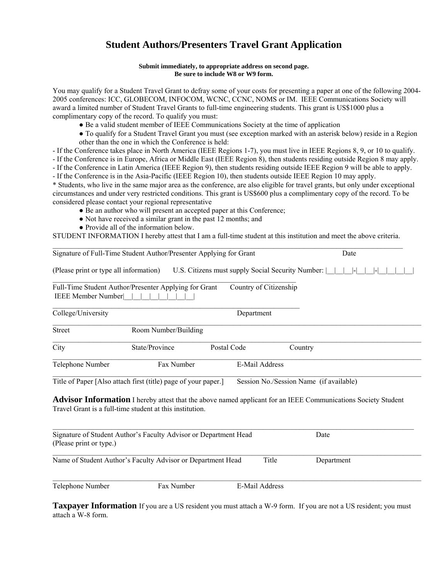# **Student Authors/Presenters Travel Grant Application**

#### **Submit immediately, to appropriate address on second page. Be sure to include W8 or W9 form.**

You may qualify for a Student Travel Grant to defray some of your costs for presenting a paper at one of the following 2004- 2005 conferences: ICC, GLOBECOM, INFOCOM, WCNC, CCNC, NOMS or IM. IEEE Communications Society will award a limited number of Student Travel Grants to full-time engineering students. This grant is US\$1000 plus a complimentary copy of the record. To qualify you must:

- Be a valid student member of IEEE Communications Society at the time of application
- To qualify for a Student Travel Grant you must (see exception marked with an asterisk below) reside in a Region other than the one in which the Conference is held:
- If the Conference takes place in North America (IEEE Regions 1-7), you must live in IEEE Regions 8, 9, or 10 to qualify.

- If the Conference is in Europe, Africa or Middle East (IEEE Region 8), then students residing outside Region 8 may apply.

- If the Conference in Latin America (IEEE Region 9), then students residing outside IEEE Region 9 will be able to apply.

- If the Conference is in the Asia-Pacific (IEEE Region 10), then students outside IEEE Region 10 may apply.

\* Students, who live in the same major area as the conference, are also eligible for travel grants, but only under exceptional circumstances and under very restricted conditions. This grant is US\$600 plus a complimentary copy of the record. To be considered please contact your regional representative

- Be an author who will present an accepted paper at this Conference;
- Not have received a similar grant in the past 12 months; and
- Provide all of the information below.

STUDENT INFORMATION I hereby attest that I am a full-time student at this institution and meet the above criteria.

|                                        | Signature of Full-Time Student Author/Presenter Applying for Grant | Date                                              |                                                                                                               |  |
|----------------------------------------|--------------------------------------------------------------------|---------------------------------------------------|---------------------------------------------------------------------------------------------------------------|--|
| (Please print or type all information) |                                                                    | U.S. Citizens must supply Social Security Number: |                                                                                                               |  |
| <b>IEEE Member Number</b>              | Full-Time Student Author/Presenter Applying for Grant              | Country of Citizenship                            |                                                                                                               |  |
| College/University                     |                                                                    | Department                                        |                                                                                                               |  |
| Street                                 | Room Number/Building                                               |                                                   |                                                                                                               |  |
| City                                   | State/Province                                                     | Postal Code                                       | Country                                                                                                       |  |
| Telephone Number                       | Fax Number                                                         | E-Mail Address                                    |                                                                                                               |  |
|                                        | Title of Paper [Also attach first (title) page of your paper.]     |                                                   | Session No./Session Name (if available)                                                                       |  |
|                                        | Travel Grant is a full-time student at this institution.           |                                                   | Advisor Information I hereby attest that the above named applicant for an IEEE Communications Society Student |  |
| (Please print or type.)                | Signature of Student Author's Faculty Advisor or Department Head   |                                                   | Date                                                                                                          |  |
|                                        | Name of Student Author's Faculty Advisor or Department Head        |                                                   | Title<br>Department                                                                                           |  |
| Telephone Number                       | Fax Number                                                         | E-Mail Address                                    |                                                                                                               |  |

**Taxpayer Information** If you are a US resident you must attach a W-9 form. If you are not a US resident; you must attach a W-8 form.